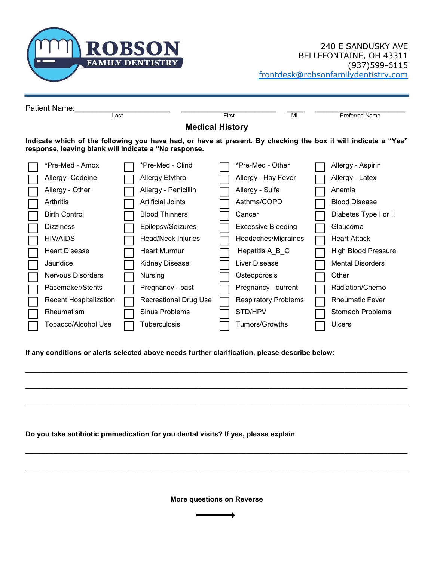

| Patient Name:                                                                                                                                                           |                               |  |                              |       |                             |  |                         |  |  |  |  |
|-------------------------------------------------------------------------------------------------------------------------------------------------------------------------|-------------------------------|--|------------------------------|-------|-----------------------------|--|-------------------------|--|--|--|--|
|                                                                                                                                                                         | Last                          |  |                              | First | MI                          |  | <b>Preferred Name</b>   |  |  |  |  |
|                                                                                                                                                                         | <b>Medical History</b>        |  |                              |       |                             |  |                         |  |  |  |  |
| Indicate which of the following you have had, or have at present. By checking the box it will indicate a "Yes"<br>response, leaving blank will indicate a "No response. |                               |  |                              |       |                             |  |                         |  |  |  |  |
|                                                                                                                                                                         | *Pre-Med - Amox               |  | *Pre-Med - Clind             |       | *Pre-Med - Other            |  | Allergy - Aspirin       |  |  |  |  |
|                                                                                                                                                                         | Allergy - Codeine             |  | Allergy Etythro              |       | Allergy - Hay Fever         |  | Allergy - Latex         |  |  |  |  |
|                                                                                                                                                                         | Allergy - Other               |  | Allergy - Penicillin         |       | Allergy - Sulfa             |  | Anemia                  |  |  |  |  |
|                                                                                                                                                                         | Arthritis                     |  | <b>Artificial Joints</b>     |       | Asthma/COPD                 |  | <b>Blood Disease</b>    |  |  |  |  |
|                                                                                                                                                                         | <b>Birth Control</b>          |  | <b>Blood Thinners</b>        |       | Cancer                      |  | Diabetes Type I or II   |  |  |  |  |
|                                                                                                                                                                         | <b>Dizziness</b>              |  | Epilepsy/Seizures            |       | <b>Excessive Bleeding</b>   |  | Glaucoma                |  |  |  |  |
|                                                                                                                                                                         | HIV/AIDS                      |  | Head/Neck Injuries           |       | Headaches/Migraines         |  | <b>Heart Attack</b>     |  |  |  |  |
|                                                                                                                                                                         | <b>Heart Disease</b>          |  | <b>Heart Murmur</b>          |       | Hepatitis A_B_C             |  | High Blood Pressure     |  |  |  |  |
|                                                                                                                                                                         | Jaundice                      |  | Kidney Disease               |       | Liver Disease               |  | <b>Mental Disorders</b> |  |  |  |  |
|                                                                                                                                                                         | Nervous Disorders             |  | Nursing                      |       | Osteoporosis                |  | Other                   |  |  |  |  |
|                                                                                                                                                                         | Pacemaker/Stents              |  | Pregnancy - past             |       | Pregnancy - current         |  | Radiation/Chemo         |  |  |  |  |
|                                                                                                                                                                         | <b>Recent Hospitalization</b> |  | <b>Recreational Drug Use</b> |       | <b>Respiratory Problems</b> |  | <b>Rheumatic Fever</b>  |  |  |  |  |
|                                                                                                                                                                         | Rheumatism                    |  | Sinus Problems               |       | STD/HPV                     |  | <b>Stomach Problems</b> |  |  |  |  |
|                                                                                                                                                                         | Tobacco/Alcohol Use           |  | Tuberculosis                 |       | Tumors/Growths              |  | <b>Ulcers</b>           |  |  |  |  |

If any conditions or alerts selected above needs further clarification, please describe below:

Do you take antibiotic premedication for you dental visits? If yes, please explain

More questions on Reverse

 $\_$  ,  $\_$  ,  $\_$  ,  $\_$  ,  $\_$  ,  $\_$  ,  $\_$  ,  $\_$  ,  $\_$  ,  $\_$  ,  $\_$  ,  $\_$  ,  $\_$  ,  $\_$  ,  $\_$  ,  $\_$  ,  $\_$  ,  $\_$  ,  $\_$  ,  $\_$  ,  $\_$  ,  $\_$  ,  $\_$  ,  $\_$  ,  $\_$  ,  $\_$  ,  $\_$  ,  $\_$  ,  $\_$  ,  $\_$  ,  $\_$  ,  $\_$  ,  $\_$  ,  $\_$  ,  $\_$  ,  $\_$  ,  $\_$  ,

 $\_$  ,  $\_$  ,  $\_$  ,  $\_$  ,  $\_$  ,  $\_$  ,  $\_$  ,  $\_$  ,  $\_$  ,  $\_$  ,  $\_$  ,  $\_$  ,  $\_$  ,  $\_$  ,  $\_$  ,  $\_$  ,  $\_$  ,  $\_$  ,  $\_$  ,  $\_$  ,  $\_$  ,  $\_$  ,  $\_$  ,  $\_$  ,  $\_$  ,  $\_$  ,  $\_$  ,  $\_$  ,  $\_$  ,  $\_$  ,  $\_$  ,  $\_$  ,  $\_$  ,  $\_$  ,  $\_$  ,  $\_$  ,  $\_$  ,

 $\_$  ,  $\_$  ,  $\_$  ,  $\_$  ,  $\_$  ,  $\_$  ,  $\_$  ,  $\_$  ,  $\_$  ,  $\_$  ,  $\_$  ,  $\_$  ,  $\_$  ,  $\_$  ,  $\_$  ,  $\_$  ,  $\_$  ,  $\_$  ,  $\_$  ,  $\_$  ,  $\_$  ,  $\_$  ,  $\_$  ,  $\_$  ,  $\_$  ,  $\_$  ,  $\_$  ,  $\_$  ,  $\_$  ,  $\_$  ,  $\_$  ,  $\_$  ,  $\_$  ,  $\_$  ,  $\_$  ,  $\_$  ,  $\_$  ,

 $\_$  ,  $\_$  ,  $\_$  ,  $\_$  ,  $\_$  ,  $\_$  ,  $\_$  ,  $\_$  ,  $\_$  ,  $\_$  ,  $\_$  ,  $\_$  ,  $\_$  ,  $\_$  ,  $\_$  ,  $\_$  ,  $\_$  ,  $\_$  ,  $\_$  ,  $\_$  ,  $\_$  ,  $\_$  ,  $\_$  ,  $\_$  ,  $\_$  ,  $\_$  ,  $\_$  ,  $\_$  ,  $\_$  ,  $\_$  ,  $\_$  ,  $\_$  ,  $\_$  ,  $\_$  ,  $\_$  ,  $\_$  ,  $\_$  ,

 $\_$  ,  $\_$  ,  $\_$  ,  $\_$  ,  $\_$  ,  $\_$  ,  $\_$  ,  $\_$  ,  $\_$  ,  $\_$  ,  $\_$  ,  $\_$  ,  $\_$  ,  $\_$  ,  $\_$  ,  $\_$  ,  $\_$  ,  $\_$  ,  $\_$  ,  $\_$  ,  $\_$  ,  $\_$  ,  $\_$  ,  $\_$  ,  $\_$  ,  $\_$  ,  $\_$  ,  $\_$  ,  $\_$  ,  $\_$  ,  $\_$  ,  $\_$  ,  $\_$  ,  $\_$  ,  $\_$  ,  $\_$  ,  $\_$  ,